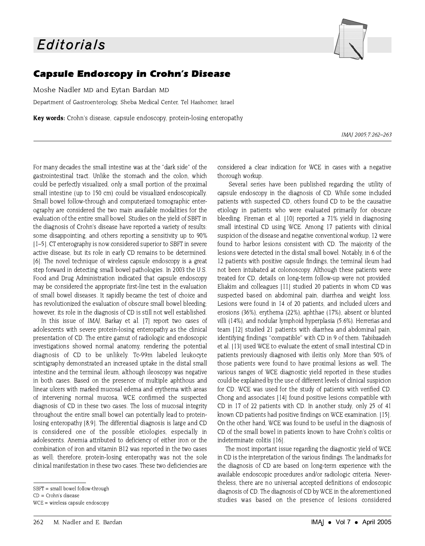

## **Capsule Endoscopy in Crohn's Disease**

Moshe Nadler MD and Eytan Bardan MD

Department of Gastroenterology, Sheba Medical Center, Tel Hashomer, Israel

**Key words:** Crohn's disease, capsule endoscopy, protein-losing enteropathy

IMAI 2005:7:262-263

For many decades the small intestine was at the "dark side" of the gastrointestinal tract. Unlike the stomach and the colon, which could be perfectly visualized, only a small portion of the proximal small intestine (up to 150 cm) could be visualized endoscopically. Small bowel follow-through and computerized tomographic enterography are considered the two main available modalities for the evaluation of the entire small bowel. Studies on the yield of SBFT in the diagnosis of Crohn's disease have reported a variety of results: some disappointing, and others reporting a sensitivity up to 90% [1-5]. CT enterography is now considered superior to SBFT in severe active disease, but its role in early CD remains to be determined. [6]. The novel technique of wireless capsule endoscopy is a great step forward in detecting small bowel pathologies. In 2003 the U.S. Food and Drug Administration indicated that capsule endoscopy may be considered the appropriate first-line test in the evaluation of small bowel diseases. It rapidly became the test of choice and has revolutionized the evaluation of obscure small bowel bleeding. however, its role in the diagnosis of CD is still not well established.

In this issue of IMAJ, Barkay et al. [7] report two cases of adolescents with severe protein-losing enteropathy as the clinical presentation of CD. The entire gamut of radiologic and endoscopic investigations showed normal anatomy, rendering the potential diagnosis of CD to be unlikely. Tc-99m labeled leukocyte scintigraphy demonstrated an increased uptake in the distal small intestine and the terminal ileum, although ileoscopy was negative in both cases. Based on the presence of multiple aphthous and linear ulcers with marked mucosal edema and erythema with areas of intervening normal mucosa, WCE confirmed the suspected diagnosis of CD in these two cases. The loss of mucosal integrity throughout the entire small bowel can potentially lead to proteinlosing enteropathy [8,9]. The differential diagnosis is large and CD is considered one of the possible etiologies, especially in adolescents. Anemia attributed to deficiency of either iron or the combination of iron and vitamin B12 was reported in the two cases as well; therefore, protein-losing enteropathy was not the sole clinical manifestation in these two cases. These two deficiencies are considered a clear indication for WCE in cases with a negative thorough workup

Several series have been published regarding the utility of capsule endoscopy in the diagnosis of CD. While some included patients with suspected CD, others found CD to be the causative etiology in patients who were evaluated primarily for obscure bleeding. Fireman et al. [10] reported a 71% yield in diagnosing small intestinal CD using WCE. Among 17 patients with clinical suspicion of the disease and negative conventional workup, 12 were found to harbor lesions consistent with CD. The majority of the lesions were detected in the distal small bowel. Notably, in 6 of the 12 patients with positive capsule findings, the terminal ileum had not been intubated at colonoscopy. Although these patients were treated for CD, details on long-term follow-up were not provided. Eliakim and colleagues [11] studied 20 patients in whom CD was suspected based on abdominal pain, diarrhea and weight loss. Lesions were found in 14 of 20 patients, and included ulcers and erosions (36%), erythema (22%), aphthae (17%), absent or blunted villi (14%), and nodular lymphoid hyperplasia (5.6%). Herrerias and team [12] studied 21 patients with diarrhea and abdominal pain. identifying findings "compatible" with CD in 9 of them. Tabibzadeh et al. [13] used WCE to evaluate the extent of small intestinal CD in patients previously diagnosed with ileitis only. More than 50% of those patients were found to have proximal lesions as well. The various ranges of WCE diagnostic yield reported in these studies could be explained by the use of different levels of clinical suspicion for CD. WCE was used for the study of patients with verified CD. Chong and associates [14] found positive lesions compatible with CD in 17 of 22 patients with CD. In another study, only 25 of 41 known CD patients had positive findings on WCE examination. [15]. On the other hand, WCE was found to be useful in the diagnosis of CD of the small bowel in patients known to have Crohn's colitis or indeterminate colitis [16].

The most important issue regarding the diagnostic yield of WCE in CD is the interpretation of the various findings. The landmarks for the diagnosis of CD are based on long-term experience with the available endoscopic procedures and/or radiologic criteria. Nevertheless, there are no universal accepted definitions of endoscopic diagnosis of CD. The diagnosis of CD by WCE in the aforementioned studies was based on the presence of lesions considered

SBFT = small bowel follow-through

 $CD = Crohn's disease$ 

 $WCE = wireless capsule endoscopy$